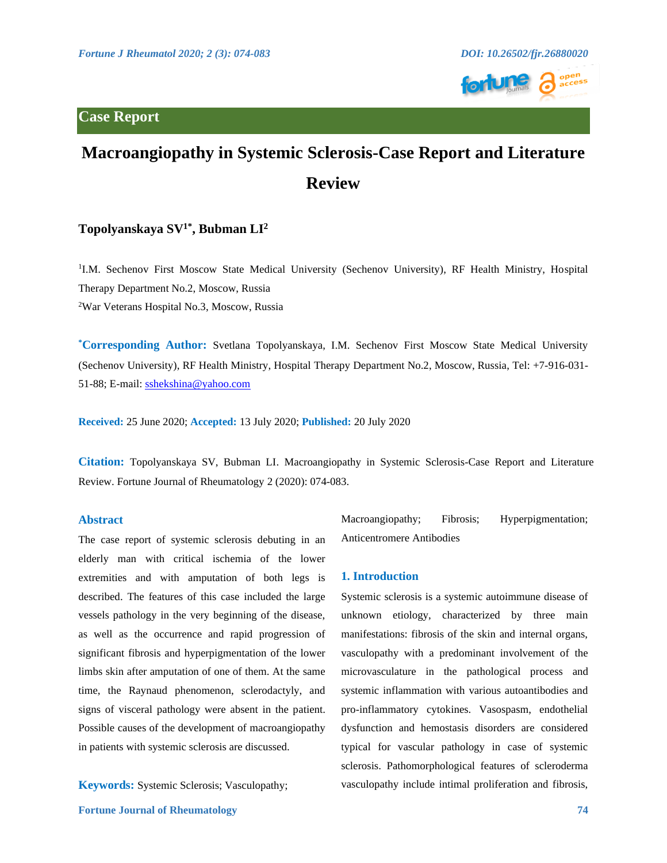

# **Case Report**

# **Macroangiopathy in Systemic Sclerosis-Case Report and Literature Review**

## **Topolyanskaya SV1\*, Bubman LI<sup>2</sup>**

<sup>1</sup>I.M. Sechenov First Moscow State Medical University (Sechenov University), RF Health Ministry, Hospital Therapy Department No.2, Moscow, Russia <sup>2</sup>War Veterans Hospital No.3, Moscow, Russia

**\*Corresponding Author:** Svetlana Topolyanskaya, I.M. Sechenov First Moscow State Medical University (Sechenov University), RF Health Ministry, Hospital Therapy Department No.2, Moscow, Russia, Tel: +7-916-031- 51-88; E-mail: [sshekshina@yahoo.com](mailto:sshekshina@yahoo.com)

**Received:** 25 June 2020; **Accepted:** 13 July 2020; **Published:** 20 July 2020

**Citation:** Topolyanskaya SV, Bubman LI. Macroangiopathy in Systemic Sclerosis-Case Report and Literature Review. Fortune Journal of Rheumatology 2 (2020): 074-083.

### **Abstract**

The case report of systemic sclerosis debuting in an elderly man with critical ischemia of the lower extremities and with amputation of both legs is described. The features of this case included the large vessels pathology in the very beginning of the disease, as well as the occurrence and rapid progression of significant fibrosis and hyperpigmentation of the lower limbs skin after amputation of one of them. At the same time, the Raynaud phenomenon, sclerodactyly, and signs of visceral pathology were absent in the patient. Possible causes of the development of macroangiopathy in patients with systemic sclerosis are discussed.

**Keywords:** Systemic Sclerosis; Vasculopathy;

Macroangiopathy; Fibrosis; Hyperpigmentation; Anticentromere Antibodies

#### **1. Introduction**

Systemic sclerosis is a systemic autoimmune disease of unknown etiology, characterized by three main manifestations: fibrosis of the skin and internal organs, vasculopathy with a predominant involvement of the microvasculature in the pathological process and systemic inflammation with various autoantibodies and pro-inflammatory cytokines. Vasospasm, endothelial dysfunction and hemostasis disorders are considered typical for vascular pathology in case of systemic sclerosis. Pathomorphological features of scleroderma vasculopathy include intimal proliferation and fibrosis,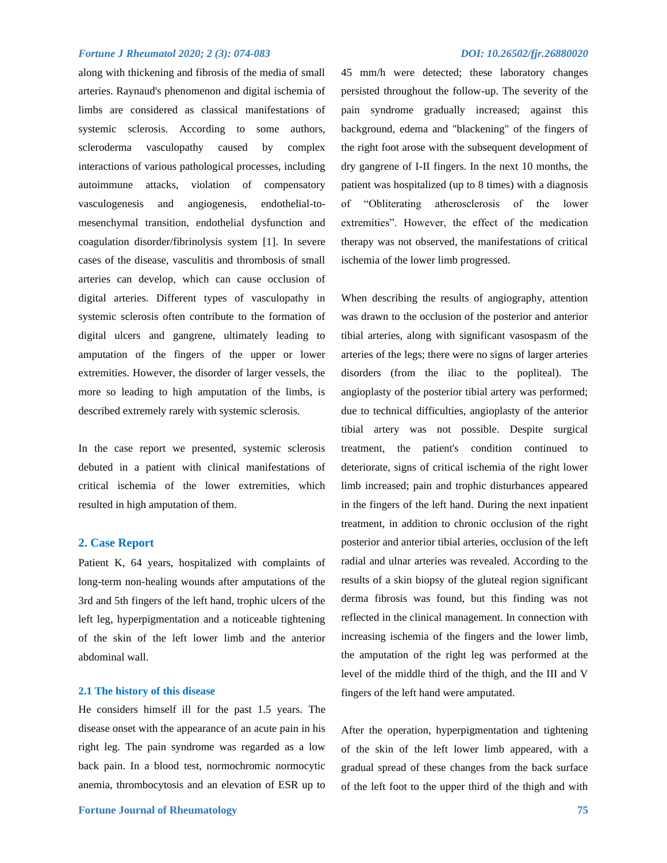along with thickening and fibrosis of the media of small arteries. Raynaud's phenomenon and digital ischemia of limbs are considered as classical manifestations of systemic sclerosis. According to some authors, scleroderma vasculopathy caused by complex interactions of various pathological processes, including autoimmune attacks, violation of compensatory vasculogenesis and angiogenesis, endothelial-tomesenchymal transition, endothelial dysfunction and coagulation disorder/fibrinolysis system [1]. In severe cases of the disease, vasculitis and thrombosis of small arteries can develop, which can cause occlusion of digital arteries. Different types of vasculopathy in systemic sclerosis often contribute to the formation of digital ulcers and gangrene, ultimately leading to amputation of the fingers of the upper or lower extremities. However, the disorder of larger vessels, the more so leading to high amputation of the limbs, is described extremely rarely with systemic sclerosis.

In the case report we presented, systemic sclerosis debuted in a patient with clinical manifestations of critical ischemia of the lower extremities, which resulted in high amputation of them.

#### **2. Case Report**

Patient K, 64 years, hospitalized with complaints of long-term non-healing wounds after amputations of the 3rd and 5th fingers of the left hand, trophic ulcers of the left leg, hyperpigmentation and a noticeable tightening of the skin of the left lower limb and the anterior abdominal wall.

#### **2.1 The history of this disease**

He considers himself ill for the past 1.5 years. The disease onset with the appearance of an acute pain in his right leg. The pain syndrome was regarded as a low back pain. In a blood test, normochromic normocytic anemia, thrombocytosis and an elevation of ESR up to 45 mm/h were detected; these laboratory changes persisted throughout the follow-up. The severity of the pain syndrome gradually increased; against this background, edema and "blackening" of the fingers of the right foot arose with the subsequent development of dry gangrene of I-II fingers. In the next 10 months, the patient was hospitalized (up to 8 times) with a diagnosis of "Obliterating atherosclerosis of the lower extremities". However, the effect of the medication therapy was not observed, the manifestations of critical ischemia of the lower limb progressed.

When describing the results of angiography, attention was drawn to the occlusion of the posterior and anterior tibial arteries, along with significant vasospasm of the arteries of the legs; there were no signs of larger arteries disorders (from the iliac to the popliteal). The angioplasty of the posterior tibial artery was performed; due to technical difficulties, angioplasty of the anterior tibial artery was not possible. Despite surgical treatment, the patient's condition continued to deteriorate, signs of critical ischemia of the right lower limb increased; pain and trophic disturbances appeared in the fingers of the left hand. During the next inpatient treatment, in addition to chronic occlusion of the right posterior and anterior tibial arteries, occlusion of the left radial and ulnar arteries was revealed. According to the results of a skin biopsy of the gluteal region significant derma fibrosis was found, but this finding was not reflected in the clinical management. In connection with increasing ischemia of the fingers and the lower limb, the amputation of the right leg was performed at the level of the middle third of the thigh, and the III and V fingers of the left hand were amputated.

After the operation, hyperpigmentation and tightening of the skin of the left lower limb appeared, with a gradual spread of these changes from the back surface of the left foot to the upper third of the thigh and with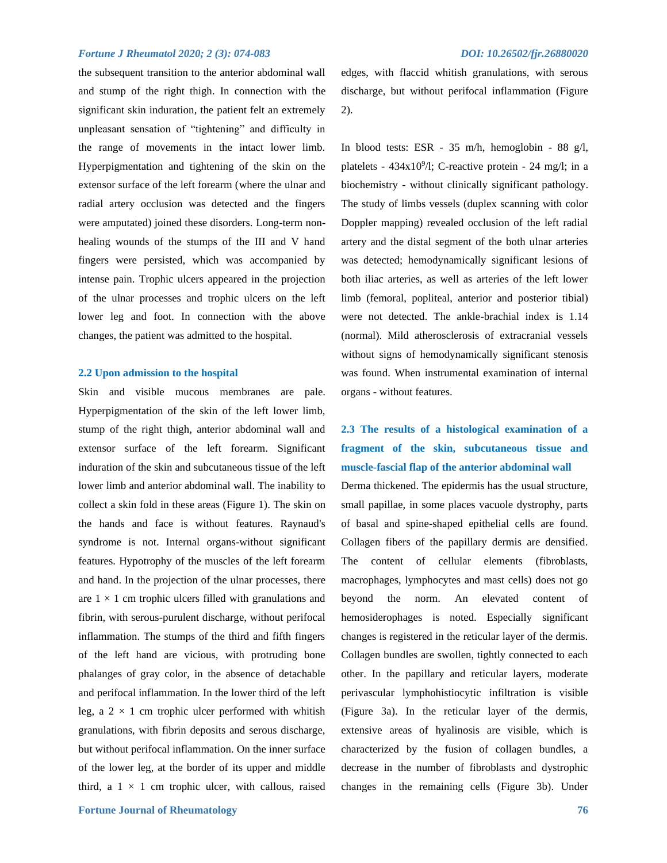the subsequent transition to the anterior abdominal wall and stump of the right thigh. In connection with the significant skin induration, the patient felt an extremely unpleasant sensation of "tightening" and difficulty in the range of movements in the intact lower limb. Hyperpigmentation and tightening of the skin on the extensor surface of the left forearm (where the ulnar and radial artery occlusion was detected and the fingers were amputated) joined these disorders. Long-term nonhealing wounds of the stumps of the III and V hand fingers were persisted, which was accompanied by intense pain. Trophic ulcers appeared in the projection of the ulnar processes and trophic ulcers on the left lower leg and foot. In connection with the above changes, the patient was admitted to the hospital.

#### **2.2 Upon admission to the hospital**

Skin and visible mucous membranes are pale. Hyperpigmentation of the skin of the left lower limb, stump of the right thigh, anterior abdominal wall and extensor surface of the left forearm. Significant induration of the skin and subcutaneous tissue of the left lower limb and anterior abdominal wall. The inability to collect a skin fold in these areas (Figure 1). The skin on the hands and face is without features. Raynaud's syndrome is not. Internal organs-without significant features. Hypotrophy of the muscles of the left forearm and hand. In the projection of the ulnar processes, there are  $1 \times 1$  cm trophic ulcers filled with granulations and fibrin, with serous-purulent discharge, without perifocal inflammation. The stumps of the third and fifth fingers of the left hand are vicious, with protruding bone phalanges of gray color, in the absence of detachable and perifocal inflammation. In the lower third of the left leg, a  $2 \times 1$  cm trophic ulcer performed with whitish granulations, with fibrin deposits and serous discharge, but without perifocal inflammation. On the inner surface of the lower leg, at the border of its upper and middle third, a  $1 \times 1$  cm trophic ulcer, with callous, raised edges, with flaccid whitish granulations, with serous discharge, but without perifocal inflammation (Figure 2).

In blood tests: ESR - 35 m/h, hemoglobin - 88 g/l, platelets -  $434x10<sup>9</sup>/l$ ; C-reactive protein - 24 mg/l; in a biochemistry - without clinically significant pathology. The study of limbs vessels (duplex scanning with color Doppler mapping) revealed occlusion of the left radial artery and the distal segment of the both ulnar arteries was detected; hemodynamically significant lesions of both iliac arteries, as well as arteries of the left lower limb (femoral, popliteal, anterior and posterior tibial) were not detected. The ankle-brachial index is 1.14 (normal). Mild atherosclerosis of extracranial vessels without signs of hemodynamically significant stenosis was found. When instrumental examination of internal organs - without features.

# **2.3 The results of a histological examination of a fragment of the skin, subcutaneous tissue and muscle-fascial flap of the anterior abdominal wall**

Derma thickened. The epidermis has the usual structure, small papillae, in some places vacuole dystrophy, parts of basal and spine-shaped epithelial cells are found. Collagen fibers of the papillary dermis are densified. The content of cellular elements (fibroblasts, macrophages, lymphocytes and mast cells) does not go beyond the norm. An elevated content of hemosiderophages is noted. Especially significant changes is registered in the reticular layer of the dermis. Collagen bundles are swollen, tightly connected to each other. In the papillary and reticular layers, moderate perivascular lymphohistiocytic infiltration is visible (Figure 3a). In the reticular layer of the dermis, extensive areas of hyalinosis are visible, which is characterized by the fusion of collagen bundles, a decrease in the number of fibroblasts and dystrophic changes in the remaining cells (Figure 3b). Under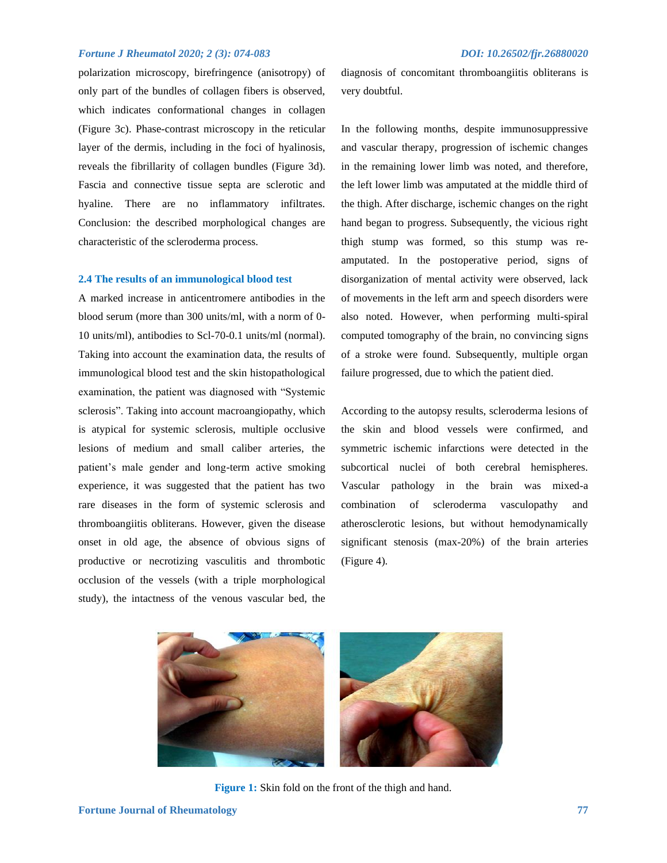polarization microscopy, birefringence (anisotropy) of only part of the bundles of collagen fibers is observed, which indicates conformational changes in collagen (Figure 3c). Phase-contrast microscopy in the reticular layer of the dermis, including in the foci of hyalinosis, reveals the fibrillarity of collagen bundles (Figure 3d). Fascia and connective tissue septa are sclerotic and hyaline. There are no inflammatory infiltrates. Conclusion: the described morphological changes are characteristic of the scleroderma process.

#### **2.4 The results of an immunological blood test**

A marked increase in anticentromere antibodies in the blood serum (more than 300 units/ml, with a norm of 0- 10 units/ml), antibodies to Scl-70-0.1 units/ml (normal). Taking into account the examination data, the results of immunological blood test and the skin histopathological examination, the patient was diagnosed with "Systemic sclerosis". Taking into account macroangiopathy, which is atypical for systemic sclerosis, multiple occlusive lesions of medium and small caliber arteries, the patient's male gender and long-term active smoking experience, it was suggested that the patient has two rare diseases in the form of systemic sclerosis and thromboangiitis obliterans. However, given the disease onset in old age, the absence of obvious signs of productive or necrotizing vasculitis and thrombotic occlusion of the vessels (with a triple morphological study), the intactness of the venous vascular bed, the diagnosis of concomitant thromboangiitis obliterans is very doubtful.

In the following months, despite immunosuppressive and vascular therapy, progression of ischemic changes in the remaining lower limb was noted, and therefore, the left lower limb was amputated at the middle third of the thigh. After discharge, ischemic changes on the right hand began to progress. Subsequently, the vicious right thigh stump was formed, so this stump was reamputated. In the postoperative period, signs of disorganization of mental activity were observed, lack of movements in the left arm and speech disorders were also noted. However, when performing multi-spiral computed tomography of the brain, no convincing signs of a stroke were found. Subsequently, multiple organ failure progressed, due to which the patient died.

According to the autopsy results, scleroderma lesions of the skin and blood vessels were confirmed, and symmetric ischemic infarctions were detected in the subcortical nuclei of both cerebral hemispheres. Vascular pathology in the brain was mixed-a combination of scleroderma vasculopathy and atherosclerotic lesions, but without hemodynamically significant stenosis (max-20%) of the brain arteries (Figure 4).



**Figure 1:** Skin fold on the front of the thigh and hand.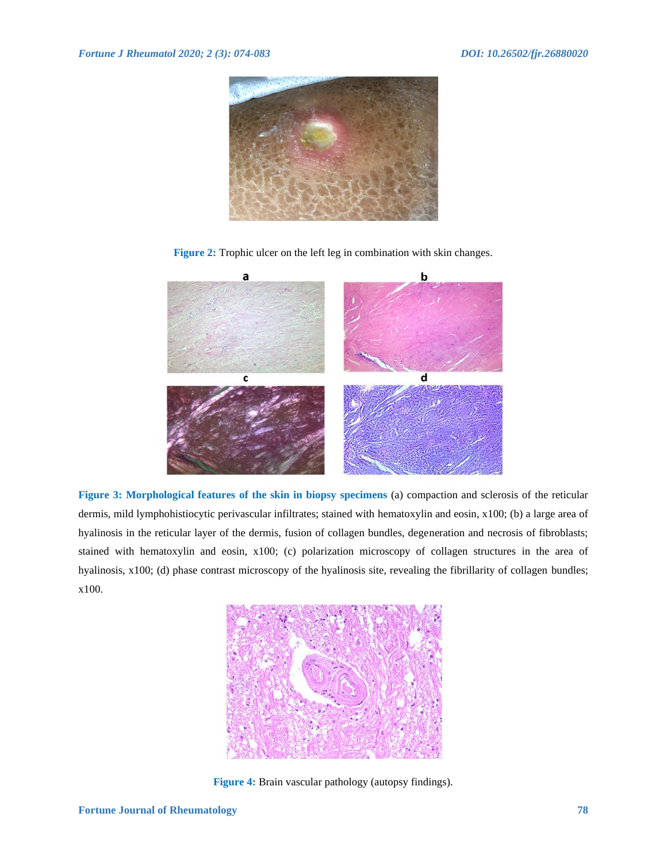

**Figure 2:** Trophic ulcer on the left leg in combination with skin changes.



**Figure 3: Morphological features of the skin in biopsy specimens** (a) compaction and sclerosis of the reticular dermis, mild lymphohistiocytic perivascular infiltrates; stained with hematoxylin and eosin, x100; (b) a large area of hyalinosis in the reticular layer of the dermis, fusion of collagen bundles, degeneration and necrosis of fibroblasts; stained with hematoxylin and eosin, x100; (c) polarization microscopy of collagen structures in the area of hyalinosis, x100; (d) phase contrast microscopy of the hyalinosis site, revealing the fibrillarity of collagen bundles; x100.



**Figure 4:** Brain vascular pathology (autopsy findings).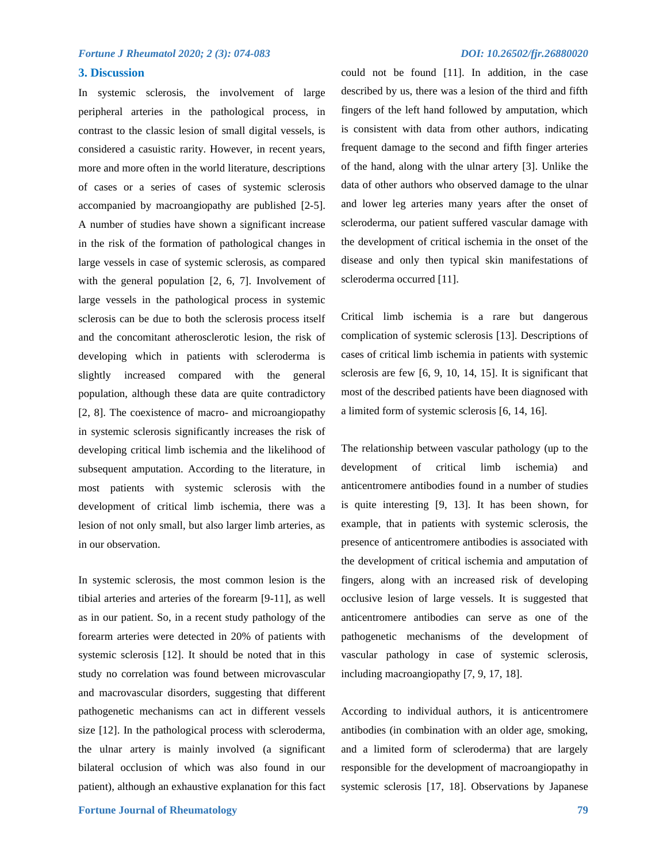#### **3. Discussion**

In systemic sclerosis, the involvement of large peripheral arteries in the pathological process, in contrast to the classic lesion of small digital vessels, is considered a casuistic rarity. However, in recent years, more and more often in the world literature, descriptions of cases or a series of cases of systemic sclerosis accompanied by macroangiopathy are published [2-5]. A number of studies have shown a significant increase in the risk of the formation of pathological changes in large vessels in case of systemic sclerosis, as compared with the general population [2, 6, 7]. Involvement of large vessels in the pathological process in systemic sclerosis can be due to both the sclerosis process itself and the concomitant atherosclerotic lesion, the risk of developing which in patients with scleroderma is slightly increased compared with the general population, although these data are quite contradictory [2, 8]. The coexistence of macro- and microangiopathy in systemic sclerosis significantly increases the risk of developing critical limb ischemia and the likelihood of subsequent amputation. According to the literature, in most patients with systemic sclerosis with the development of critical limb ischemia, there was a lesion of not only small, but also larger limb arteries, as in our observation.

In systemic sclerosis, the most common lesion is the tibial arteries and arteries of the forearm [9-11], as well as in our patient. So, in a recent study pathology of the forearm arteries were detected in 20% of patients with systemic sclerosis [12]. It should be noted that in this study no correlation was found between microvascular and macrovascular disorders, suggesting that different pathogenetic mechanisms can act in different vessels size [12]. In the pathological process with scleroderma, the ulnar artery is mainly involved (a significant bilateral occlusion of which was also found in our patient), although an exhaustive explanation for this fact could not be found [11]. In addition, in the case described by us, there was a lesion of the third and fifth fingers of the left hand followed by amputation, which is consistent with data from other authors, indicating frequent damage to the second and fifth finger arteries of the hand, along with the ulnar artery [3]. Unlike the data of other authors who observed damage to the ulnar and lower leg arteries many years after the onset of scleroderma, our patient suffered vascular damage with the development of critical ischemia in the onset of the disease and only then typical skin manifestations of scleroderma occurred [11].

Critical limb ischemia is a rare but dangerous complication of systemic sclerosis [13]. Descriptions of cases of critical limb ischemia in patients with systemic sclerosis are few [6, 9, 10, 14, 15]. It is significant that most of the described patients have been diagnosed with a limited form of systemic sclerosis [6, 14, 16].

The relationship between vascular pathology (up to the development of critical limb ischemia) and anticentromere antibodies found in a number of studies is quite interesting [9, 13]. It has been shown, for example, that in patients with systemic sclerosis, the presence of anticentromere antibodies is associated with the development of critical ischemia and amputation of fingers, along with an increased risk of developing occlusive lesion of large vessels. It is suggested that anticentromere antibodies can serve as one of the pathogenetic mechanisms of the development of vascular pathology in case of systemic sclerosis, including macroangiopathy [7, 9, 17, 18].

According to individual authors, it is anticentromere antibodies (in combination with an older age, smoking, and a limited form of scleroderma) that are largely responsible for the development of macroangiopathy in systemic sclerosis [17, 18]. Observations by Japanese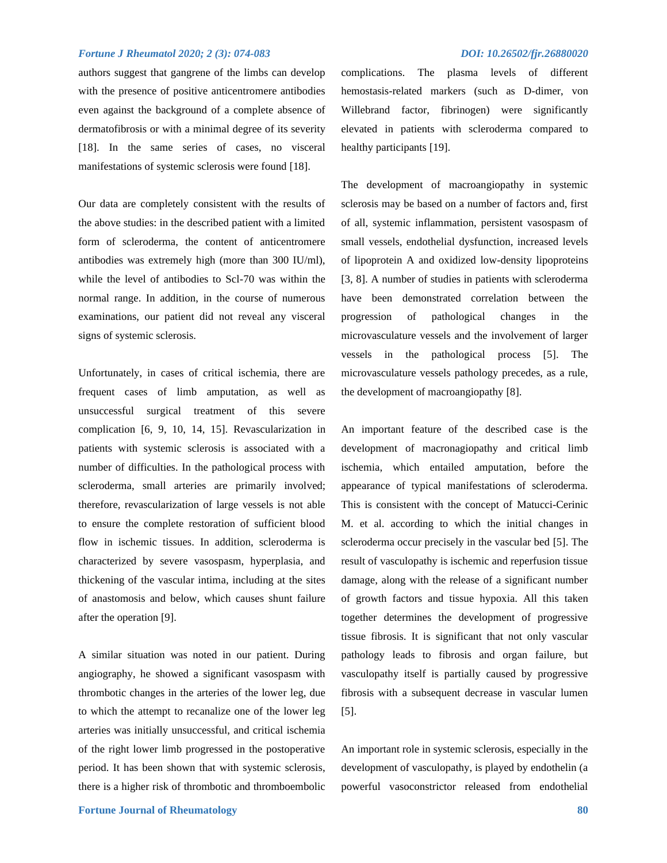authors suggest that gangrene of the limbs can develop with the presence of positive anticentromere antibodies even against the background of a complete absence of dermatofibrosis or with a minimal degree of its severity [18]. In the same series of cases, no visceral manifestations of systemic sclerosis were found [18].

Our data are completely consistent with the results of the above studies: in the described patient with a limited form of scleroderma, the content of anticentromere antibodies was extremely high (more than 300 IU/ml), while the level of antibodies to Scl-70 was within the normal range. In addition, in the course of numerous examinations, our patient did not reveal any visceral signs of systemic sclerosis.

Unfortunately, in cases of critical ischemia, there are frequent cases of limb amputation, as well as unsuccessful surgical treatment of this severe complication [6, 9, 10, 14, 15]. Revascularization in patients with systemic sclerosis is associated with a number of difficulties. In the pathological process with scleroderma, small arteries are primarily involved; therefore, revascularization of large vessels is not able to ensure the complete restoration of sufficient blood flow in ischemic tissues. In addition, scleroderma is characterized by severe vasospasm, hyperplasia, and thickening of the vascular intima, including at the sites of anastomosis and below, which causes shunt failure after the operation [9].

A similar situation was noted in our patient. During angiography, he showed a significant vasospasm with thrombotic changes in the arteries of the lower leg, due to which the attempt to recanalize one of the lower leg arteries was initially unsuccessful, and critical ischemia of the right lower limb progressed in the postoperative period. It has been shown that with systemic sclerosis, there is a higher risk of thrombotic and thromboembolic

complications. The plasma levels of different hemostasis-related markers (such as D-dimer, von Willebrand factor, fibrinogen) were significantly elevated in patients with scleroderma compared to healthy participants [19].

The development of macroangiopathy in systemic sclerosis may be based on a number of factors and, first of all, systemic inflammation, persistent vasospasm of small vessels, endothelial dysfunction, increased levels of lipoprotein A and oxidized low-density lipoproteins [3, 8]. A number of studies in patients with scleroderma have been demonstrated correlation between the progression of pathological changes in the microvasculature vessels and the involvement of larger vessels in the pathological process [5]. The microvasculature vessels pathology precedes, as a rule, the development of macroangiopathy [8].

An important feature of the described case is the development of macronagiopathy and critical limb ischemia, which entailed amputation, before the appearance of typical manifestations of scleroderma. This is consistent with the concept of Matucci-Cerinic M. et al. according to which the initial changes in scleroderma occur precisely in the vascular bed [5]. The result of vasculopathy is ischemic and reperfusion tissue damage, along with the release of a significant number of growth factors and tissue hypoxia. All this taken together determines the development of progressive tissue fibrosis. It is significant that not only vascular pathology leads to fibrosis and organ failure, but vasculopathy itself is partially caused by progressive fibrosis with a subsequent decrease in vascular lumen [5].

An important role in systemic sclerosis, especially in the development of vasculopathy, is played by endothelin (a powerful vasoconstrictor released from endothelial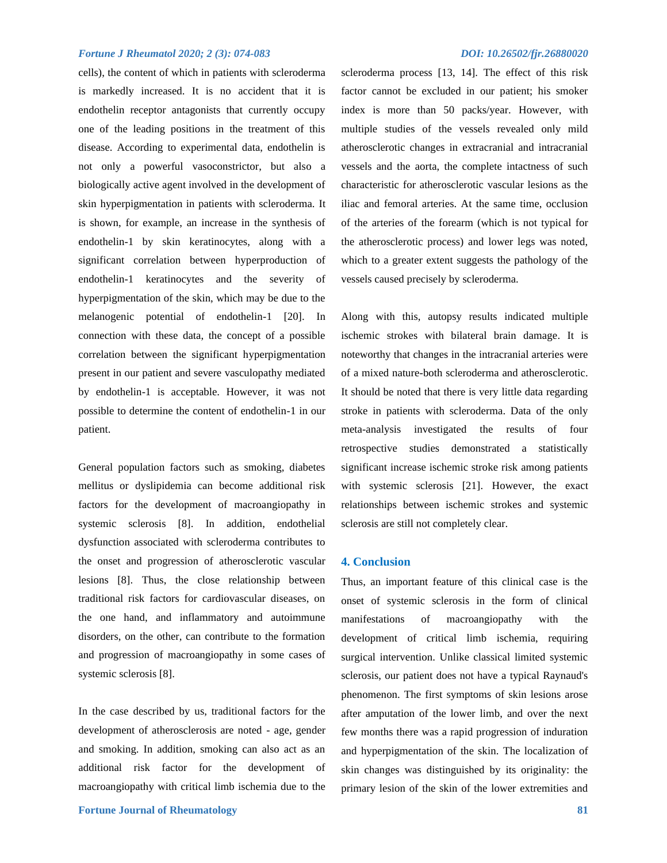cells), the content of which in patients with scleroderma is markedly increased. It is no accident that it is endothelin receptor antagonists that currently occupy one of the leading positions in the treatment of this disease. According to experimental data, endothelin is not only a powerful vasoconstrictor, but also a biologically active agent involved in the development of skin hyperpigmentation in patients with scleroderma. It is shown, for example, an increase in the synthesis of endothelin-1 by skin keratinocytes, along with a significant correlation between hyperproduction of endothelin-1 keratinocytes and the severity of hyperpigmentation of the skin, which may be due to the melanogenic potential of endothelin-1 [20]. In connection with these data, the concept of a possible correlation between the significant hyperpigmentation present in our patient and severe vasculopathy mediated by endothelin-1 is acceptable. However, it was not possible to determine the content of endothelin-1 in our patient.

General population factors such as smoking, diabetes mellitus or dyslipidemia can become additional risk factors for the development of macroangiopathy in systemic sclerosis [8]. In addition, endothelial dysfunction associated with scleroderma contributes to the onset and progression of atherosclerotic vascular lesions [8]. Thus, the close relationship between traditional risk factors for cardiovascular diseases, on the one hand, and inflammatory and autoimmune disorders, on the other, can contribute to the formation and progression of macroangiopathy in some cases of systemic sclerosis [8].

In the case described by us, traditional factors for the development of atherosclerosis are noted - age, gender and smoking. In addition, smoking can also act as an additional risk factor for the development of macroangiopathy with critical limb ischemia due to the

scleroderma process [13, 14]. The effect of this risk factor cannot be excluded in our patient; his smoker index is more than 50 packs/year. However, with multiple studies of the vessels revealed only mild atherosclerotic changes in extracranial and intracranial vessels and the aorta, the complete intactness of such characteristic for atherosclerotic vascular lesions as the iliac and femoral arteries. At the same time, occlusion of the arteries of the forearm (which is not typical for the atherosclerotic process) and lower legs was noted, which to a greater extent suggests the pathology of the vessels caused precisely by scleroderma.

Along with this, autopsy results indicated multiple ischemic strokes with bilateral brain damage. It is noteworthy that changes in the intracranial arteries were of a mixed nature-both scleroderma and atherosclerotic. It should be noted that there is very little data regarding stroke in patients with scleroderma. Data of the only meta-analysis investigated the results of four retrospective studies demonstrated a statistically significant increase ischemic stroke risk among patients with systemic sclerosis [21]. However, the exact relationships between ischemic strokes and systemic sclerosis are still not completely clear.

#### **4. Conclusion**

Thus, an important feature of this clinical case is the onset of systemic sclerosis in the form of clinical manifestations of macroangiopathy with the development of critical limb ischemia, requiring surgical intervention. Unlike classical limited systemic sclerosis, our patient does not have a typical Raynaud's phenomenon. The first symptoms of skin lesions arose after amputation of the lower limb, and over the next few months there was a rapid progression of induration and hyperpigmentation of the skin. The localization of skin changes was distinguished by its originality: the primary lesion of the skin of the lower extremities and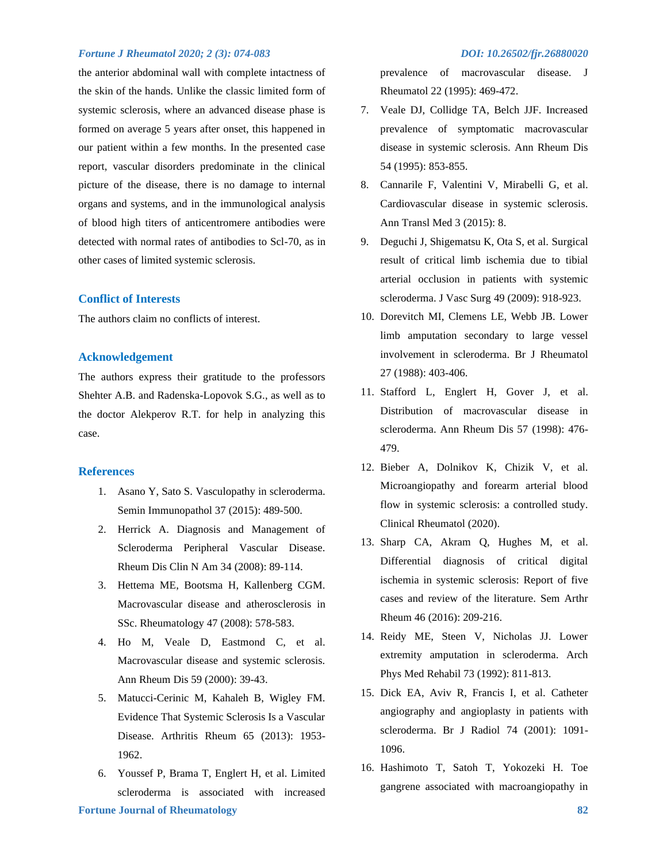the anterior abdominal wall with complete intactness of the skin of the hands. Unlike the classic limited form of systemic sclerosis, where an advanced disease phase is formed on average 5 years after onset, this happened in our patient within a few months. In the presented case report, vascular disorders predominate in the clinical picture of the disease, there is no damage to internal organs and systems, and in the immunological analysis of blood high titers of anticentromere antibodies were detected with normal rates of antibodies to Scl-70, as in other cases of limited systemic sclerosis.

#### **Conflict of Interests**

The authors claim no conflicts of interest.

#### **Acknowledgement**

The authors express their gratitude to the professors Shehter A.B. and Radenska-Lopovok S.G., as well as to the doctor Alekperov R.T. for help in analyzing this case.

#### **References**

- 1. Asano Y, Sato S. Vasculopathy in scleroderma. Semin Immunopathol 37 (2015): 489-500.
- 2. Herrick A. Diagnosis and Management of Scleroderma Peripheral Vascular Disease. Rheum Dis Clin N Am 34 (2008): 89-114.
- 3. Hettema ME, Bootsma H, Kallenberg CGM. Macrovascular disease and atherosclerosis in SSc. Rheumatology 47 (2008): 578-583.
- 4. Ho M, Veale D, Eastmond C, et al. Macrovascular disease and systemic sclerosis. Ann Rheum Dis 59 (2000): 39-43.
- 5. Matucci-Cerinic M, Kahaleh B, Wigley FM. Evidence That Systemic Sclerosis Is a Vascular Disease. Arthritis Rheum 65 (2013): 1953- 1962.
- **Fortune Journal of Rheumatology 82** 6. Youssef P, Brama T, Englert H, et al. Limited scleroderma is associated with increased

prevalence of macrovascular disease. J Rheumatol 22 (1995): 469-472.

- 7. Veale DJ, Collidge TA, Belch JJF. Increased prevalence of symptomatic macrovascular disease in systemic sclerosis. Ann Rheum Dis 54 (1995): 853-855.
- 8. Cannarile F, Valentini V, Mirabelli G, et al. Cardiovascular disease in systemic sclerosis. Ann Transl Med 3 (2015): 8.
- 9. Deguchi J, Shigematsu K, Ota S, et al. Surgical result of critical limb ischemia due to tibial arterial occlusion in patients with systemic scleroderma. J Vasc Surg 49 (2009): 918-923.
- 10. Dorevitch MI, Clemens LE, Webb JB. Lower limb amputation secondary to large vessel involvement in scleroderma. Br J Rheumatol 27 (1988): 403-406.
- 11. Stafford L, Englert H, Gover J, et al. Distribution of macrovascular disease in scleroderma. Ann Rheum Dis 57 (1998): 476- 479.
- 12. Bieber A, Dolnikov K, Chizik V, et al. Microangiopathy and forearm arterial blood flow in systemic sclerosis: a controlled study. Clinical Rheumatol (2020).
- 13. Sharp CA, Akram Q, Hughes M, et al. Differential diagnosis of critical digital ischemia in systemic sclerosis: Report of five cases and review of the literature. Sem Arthr Rheum 46 (2016): 209-216.
- 14. Reidy ME, Steen V, Nicholas JJ. Lower extremity amputation in scleroderma. Arch Phys Med Rehabil 73 (1992): 811-813.
- 15. Dick EA, Aviv R, Francis I, et al. Catheter angiography and angioplasty in patients with scleroderma. Br J Radiol 74 (2001): 1091- 1096.
- 16. Hashimoto T, Satoh T, Yokozeki H. Toe gangrene associated with macroangiopathy in